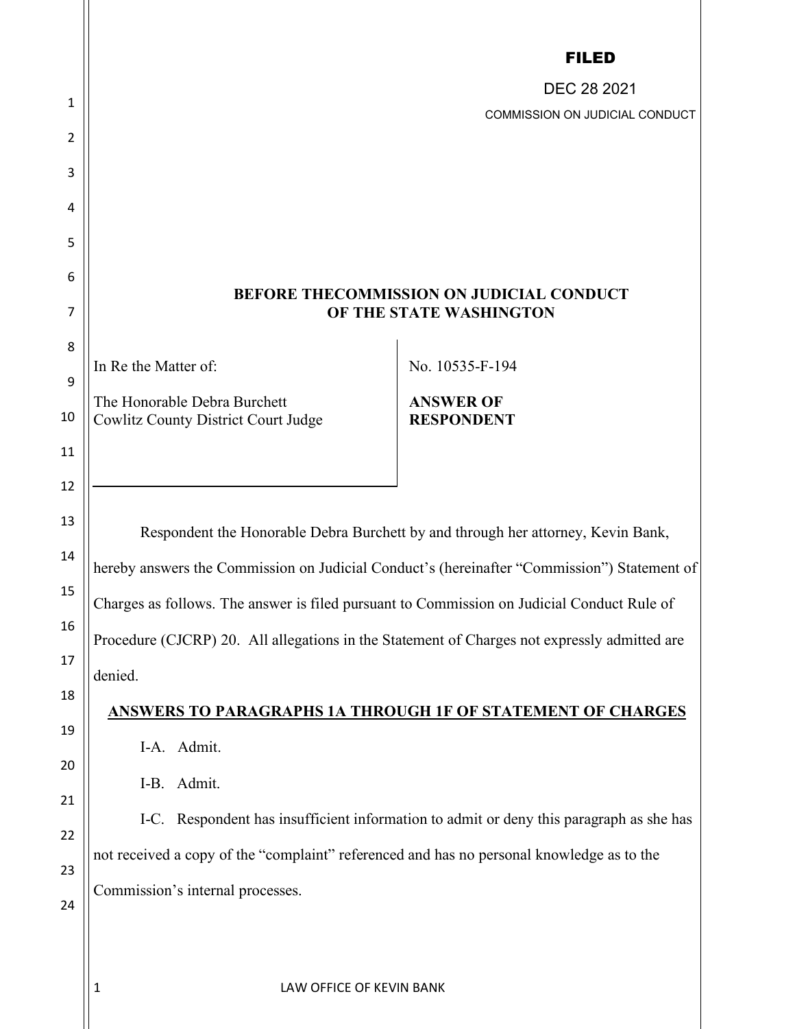|    |                                                                                              | <b>FILED</b>                          |  |
|----|----------------------------------------------------------------------------------------------|---------------------------------------|--|
| 1  |                                                                                              | DEC 28 2021                           |  |
| 2  |                                                                                              | <b>COMMISSION ON JUDICIAL CONDUCT</b> |  |
| 3  |                                                                                              |                                       |  |
| 4  |                                                                                              |                                       |  |
| 5  |                                                                                              |                                       |  |
| 6  |                                                                                              |                                       |  |
| 7  | BEFORE THECOMMISSION ON JUDICIAL CONDUCT<br>OF THE STATE WASHINGTON                          |                                       |  |
| 8  |                                                                                              |                                       |  |
| 9  | In Re the Matter of:                                                                         | No. 10535-F-194                       |  |
| 10 | The Honorable Debra Burchett<br><b>Cowlitz County District Court Judge</b>                   | <b>ANSWER OF</b><br><b>RESPONDENT</b> |  |
| 11 |                                                                                              |                                       |  |
| 12 |                                                                                              |                                       |  |
| 13 |                                                                                              |                                       |  |
| 14 | Respondent the Honorable Debra Burchett by and through her attorney, Kevin Bank,             |                                       |  |
| 15 | hereby answers the Commission on Judicial Conduct's (hereinafter "Commission") Statement of  |                                       |  |
| 16 | Charges as follows. The answer is filed pursuant to Commission on Judicial Conduct Rule of   |                                       |  |
| 17 | Procedure (CJCRP) 20. All allegations in the Statement of Charges not expressly admitted are |                                       |  |
| 18 | denied.                                                                                      |                                       |  |
| 19 | ANSWERS TO PARAGRAPHS 1A THROUGH 1F OF STATEMENT OF CHARGES                                  |                                       |  |
| 20 | I-A. Admit.                                                                                  |                                       |  |
| 21 | I-B. Admit.                                                                                  |                                       |  |
| 22 | I-C. Respondent has insufficient information to admit or deny this paragraph as she has      |                                       |  |
| 23 | not received a copy of the "complaint" referenced and has no personal knowledge as to the    |                                       |  |
| 24 | Commission's internal processes.                                                             |                                       |  |
|    |                                                                                              |                                       |  |
|    |                                                                                              |                                       |  |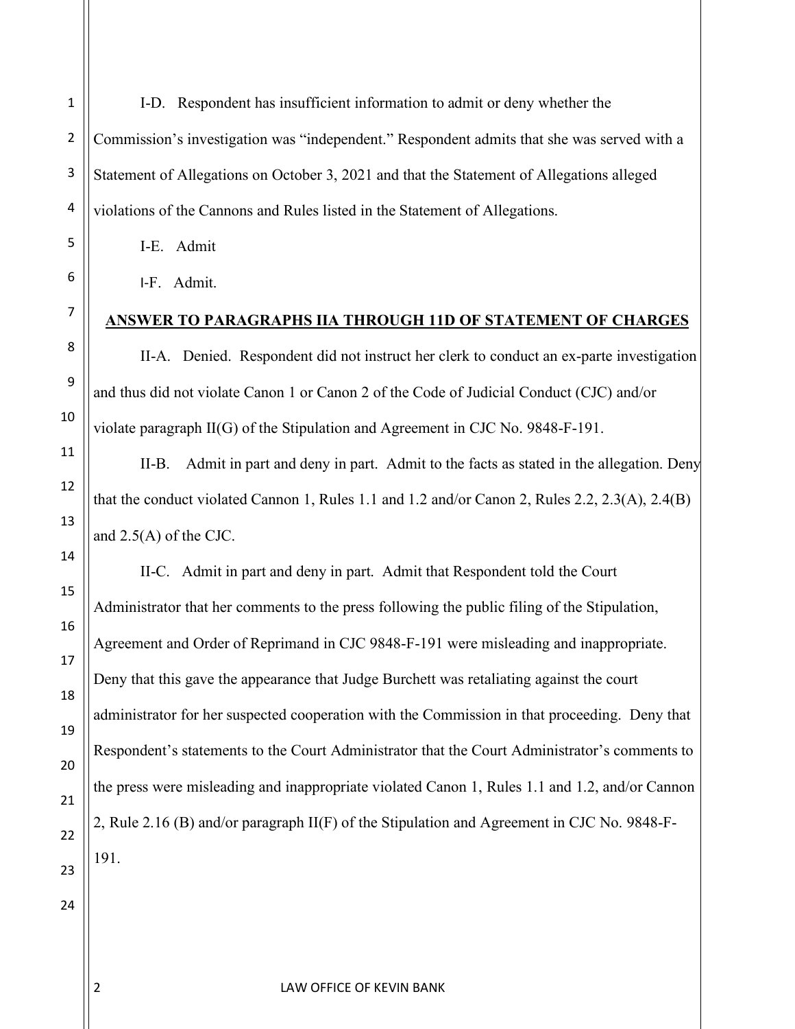1 I-D. Respondent has insufficient information to admit or deny whether the Commission's investigation was "independent." Respondent admits that she was served with a Statement of Allegations on October 3, 2021 and that the Statement of Allegations alleged violations of the Cannons and Rules listed in the Statement of Allegations.

I-E. Admit

I-F. Admit.

# **ANSWER TO PARAGRAPHS IIA THROUGH 11D OF STATEMENT OF CHARGES**

II-A. Denied. Respondent did not instruct her clerk to conduct an ex-parte investigation and thus did not violate Canon 1 or Canon 2 of the Code of Judicial Conduct (CJC) and/or violate paragraph II(G) of the Stipulation and Agreement in CJC No. 9848-F-191.

II-B. Admit in part and deny in part. Admit to the facts as stated in the allegation. Deny that the conduct violated Cannon 1, Rules 1.1 and 1.2 and/or Canon 2, Rules 2.2, 2.3(A), 2.4(B) and 2.5(A) of the CJC.

II-C. Admit in part and deny in part. Admit that Respondent told the Court Administrator that her comments to the press following the public filing of the Stipulation, Agreement and Order of Reprimand in CJC 9848-F-191 were misleading and inappropriate. Deny that this gave the appearance that Judge Burchett was retaliating against the court administrator for her suspected cooperation with the Commission in that proceeding. Deny that Respondent's statements to the Court Administrator that the Court Administrator's comments to the press were misleading and inappropriate violated Canon 1, Rules 1.1 and 1.2, and/or Cannon 2, Rule 2.16 (B) and/or paragraph II(F) of the Stipulation and Agreement in CJC No. 9848-F-191.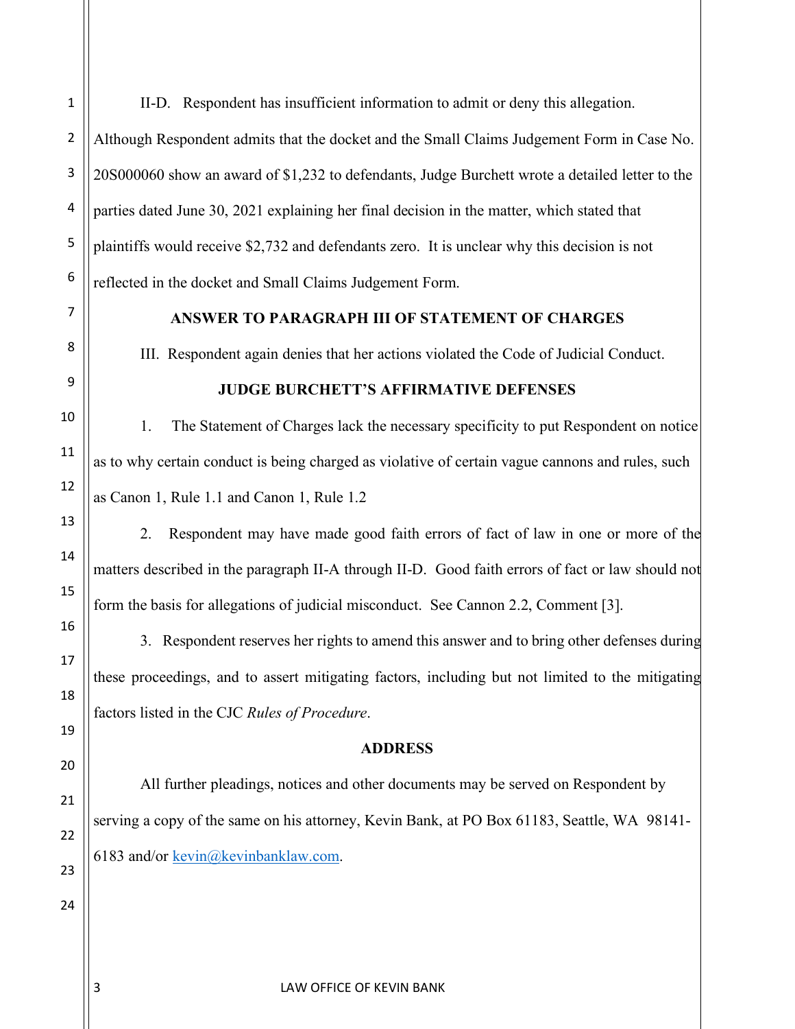II-D. Respondent has insufficient information to admit or deny this allegation.

Although Respondent admits that the docket and the Small Claims Judgement Form in Case No. 20S000060 show an award of \$1,232 to defendants, Judge Burchett wrote a detailed letter to the parties dated June 30, 2021 explaining her final decision in the matter, which stated that plaintiffs would receive \$2,732 and defendants zero. It is unclear why this decision is not reflected in the docket and Small Claims Judgement Form.

## **ANSWER TO PARAGRAPH III OF STATEMENT OF CHARGES**

III. Respondent again denies that her actions violated the Code of Judicial Conduct.

**JUDGE BURCHETT'S AFFIRMATIVE DEFENSES**

1. The Statement of Charges lack the necessary specificity to put Respondent on notice as to why certain conduct is being charged as violative of certain vague cannons and rules, such as Canon 1, Rule 1.1 and Canon 1, Rule 1.2

2. Respondent may have made good faith errors of fact of law in one or more of the matters described in the paragraph II-A through II-D. Good faith errors of fact or law should not form the basis for allegations of judicial misconduct. See Cannon 2.2, Comment [3].

3. Respondent reserves her rights to amend this answer and to bring other defenses during these proceedings, and to assert mitigating factors, including but not limited to the mitigating factors listed in the CJC *Rules of Procedure*.

### **ADDRESS**

All further pleadings, notices and other documents may be served on Respondent by serving a copy of the same on his attorney, Kevin Bank, at PO Box 61183, Seattle, WA 98141 6183 and/or [kevin@kevinbanklaw.com.](mailto:kevin@kevinbanklaw.com)